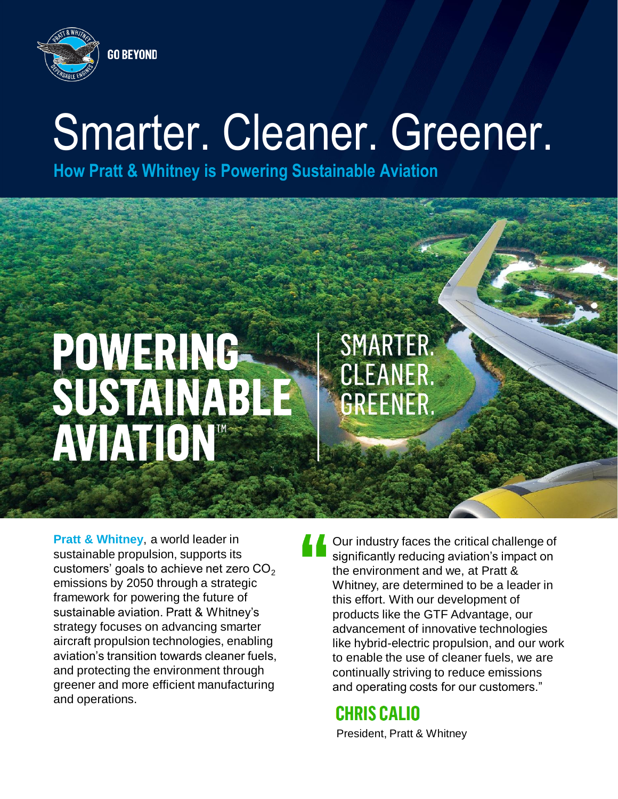

#### **GO BEYOND**

### Smarter. Cleaner. Greener.

**How Pratt & Whitney is Powering Sustainable Aviation**

# POWERING<br>SUSTANABIE<br>AVIATON®

**Pratt & Whitney**, a world leader in sustainable propulsion, supports its customers' goals to achieve net zero  $CO<sub>2</sub>$ emissions by 2050 through a strategic framework for powering the future of sustainable aviation. Pratt & Whitney's strategy focuses on advancing smarter aircraft propulsion technologies, enabling aviation's transition towards cleaner fuels, and protecting the environment through greener and more efficient manufacturing and operations.

Our industry faces the critical challenge of significantly reducing aviation's impact on the environment and we, at Pratt & Whitney, are determined to be a leader in this effort. With our development of products like the GTF Advantage, our advancement of innovative technologies like hybrid-electric propulsion, and our work to enable the use of cleaner fuels, we are continually striving to reduce emissions and operating costs for our customers."

### **CHRIS CALIO**

SMARTER.

CLEANER.

GREENER.

President, Pratt & Whitney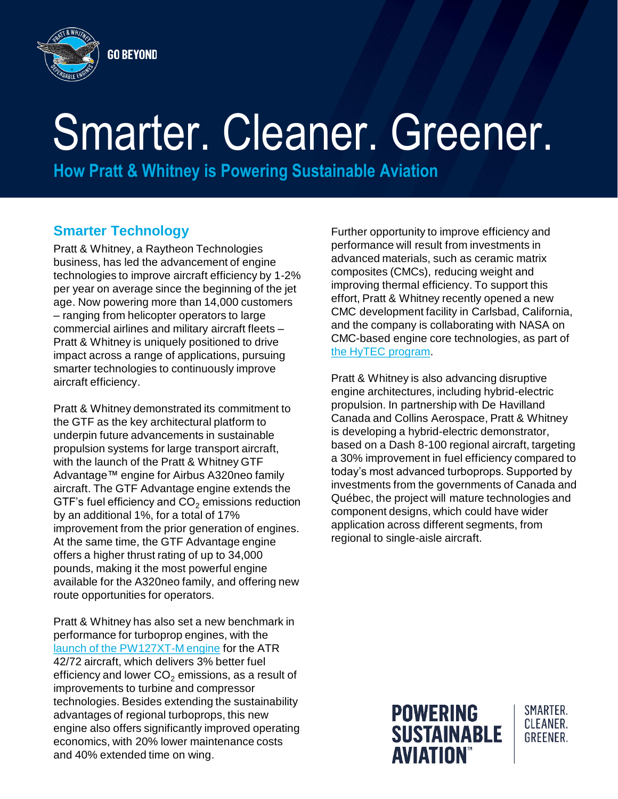

# Smarter. Cleaner. Greener.

**How Pratt & Whitney is Powering Sustainable Aviation**

### **Smarter Technology**

Pratt & Whitney, a Raytheon Technologies business, has led the advancement of engine technologies to improve aircraft efficiency by 1-2% per year on average since the beginning of the jet age. Now powering more than 14,000 customers – ranging from helicopter operators to large commercial airlines and military aircraft fleets – Pratt & Whitney is uniquely positioned to drive impact across a range of applications, pursuing smarter technologies to continuously improve aircraft efficiency.

Pratt & Whitney demonstrated its commitment to the GTF as the key architectural platform to underpin future advancements in sustainable propulsion systems for large transport aircraft, with the launch of the Pratt & Whitney GTF Advantage™ engine for Airbus A320neo family aircraft. The GTF Advantage engine extends the GTF's fuel efficiency and  $CO<sub>2</sub>$  emissions reduction by an additional 1%, for a total of 17% improvement from the prior generation of engines. At the same time, the GTF Advantage engine offers a higher thrust rating of up to 34,000 pounds, making it the most powerful engine available for the A320neo family, and offering new route opportunities for operators.

Pratt & Whitney has also set a new benchmark in performance for turboprop engines, with the [launch of the PW127XT-M engine](https://newsroom.prattwhitney.com/Pratt-Whitney-Canada-Announces-New-PW127XT-Engine-Series-Setting-a-New-Benchmark-for-Regional-Turboprop-Engines) for the ATR 42/72 aircraft, which delivers 3% better fuel efficiency and lower  $CO<sub>2</sub>$  emissions, as a result of improvements to turbine and compressor technologies. Besides extending the sustainability advantages of regional turboprops, this new engine also offers significantly improved operating economics, with 20% lower maintenance costs and 40% extended time on wing.

Further opportunity to improve efficiency and performance will result from investments in advanced materials, such as ceramic matrix composites (CMCs), reducing weight and improving thermal efficiency. To support this effort, Pratt & Whitney recently opened a new CMC development facility in Carlsbad, California, and the company is collaborating with NASA on CMC-based engine core technologies, as part of the [HyTEC program](https://newsroom.prattwhitney.com/2021-10-25-Pratt-Whitney-Develops-Efficient-Gas-Turbine-Technologies-with-NASA-HyTEC-Project).

Pratt & Whitney is also advancing disruptive engine architectures, including hybrid-electric propulsion. In partnership with De Havilland Canada and Collins Aerospace, Pratt & Whitney is developing a hybrid-electric demonstrator, based on a Dash 8-100 regional aircraft, targeting a 30% improvement in fuel efficiency compared to today's most advanced turboprops. Supported by investments from the governments of Canada and Québec, the project will mature technologies and component designs, which could have wider application across different segments, from regional to single-aisle aircraft.



SMARTER. CLEANER. GRFFNFR.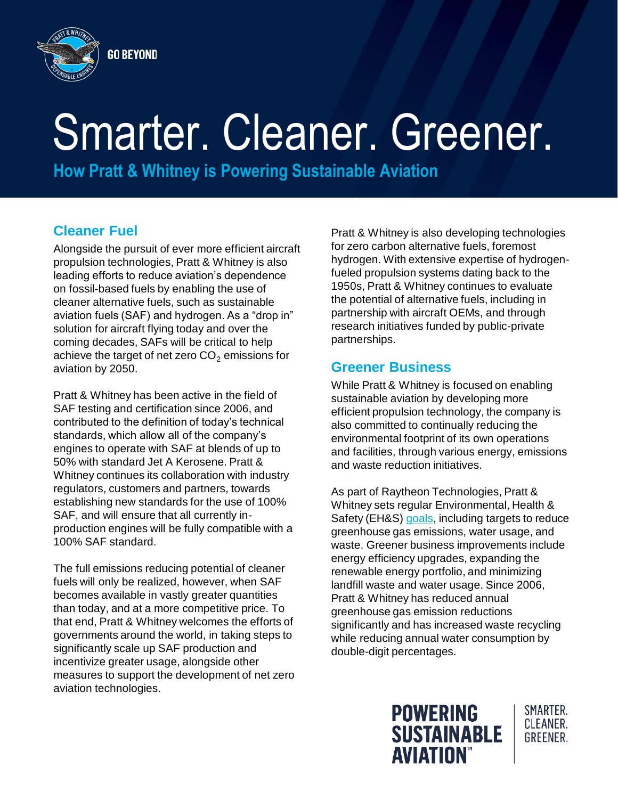

# Smarter. Cleaner. Greener.

**How Pratt & Whitney is Powering Sustainable Aviation**

### **Cleaner Fuel**

Alongside the pursuit of ever more efficient aircraft propulsion technologies, Pratt & Whitney is also leading efforts to reduce aviation's dependence on fossil-based fuels by enabling the use of cleaner alternative fuels, such as sustainable aviation fuels (SAF) and hydrogen. As a "drop in" solution for aircraft flying today and over the coming decades, SAFs will be critical to help achieve the target of net zero  $CO<sub>2</sub>$  emissions for aviation by 2050.

Pratt & Whitney has been active in the field of SAF testing and certification since 2006, and contributed to the definition of today's technical standards, which allow all of the company's engines to operate with SAF at blends of up to 50% with standard Jet A Kerosene. Pratt & Whitney continues its collaboration with industry regulators, customers and partners, towards establishing new standards for the use of 100% SAF, and will ensure that all currently inproduction engines will be fully compatible with a 100% SAF standard.

The full emissions reducing potential of cleaner fuels will only be realized, however, when SAF becomes available in vastly greater quantities than today, and at a more competitive price. To that end, Pratt & Whitney welcomes the efforts of governments around the world, in taking steps to significantly scale up SAF production and incentivize greater usage, alongside other measures to support the development of net zero aviation technologies.

Pratt & Whitney is also developing technologies for zero carbon alternative fuels, foremost hydrogen. With extensive expertise of hydrogenfueled propulsion systems dating back to the 1950s, Pratt & Whitney continues to evaluate the potential of alternative fuels, including in partnership with aircraft OEMs, and through research initiatives funded by public-private partnerships.

### **Greener Business**

While Pratt & Whitney is focused on enabling sustainable aviation by developing more efficient propulsion technology, the company is also committed to continually reducing the environmental footprint of its own operations and facilities, through various energy, emissions and waste reduction initiatives.

As part of Raytheon Technologies, Pratt & Whitney sets regular Environmental, Health & Safety (EH&S) [goals,](https://www.rtx.com/social-impact/environment-health-and-safety/goals) including targets to reduce greenhouse gas emissions, water usage, and waste. Greener business improvements include energy efficiency upgrades, expanding the renewable energy portfolio, and minimizing landfill waste and water usage. Since 2006, Pratt & Whitney has reduced annual greenhouse gas emission reductions significantly and has increased waste recycling while reducing annual water consumption by double-digit percentages.



SMARTER. CLEANER. **GREENER.**